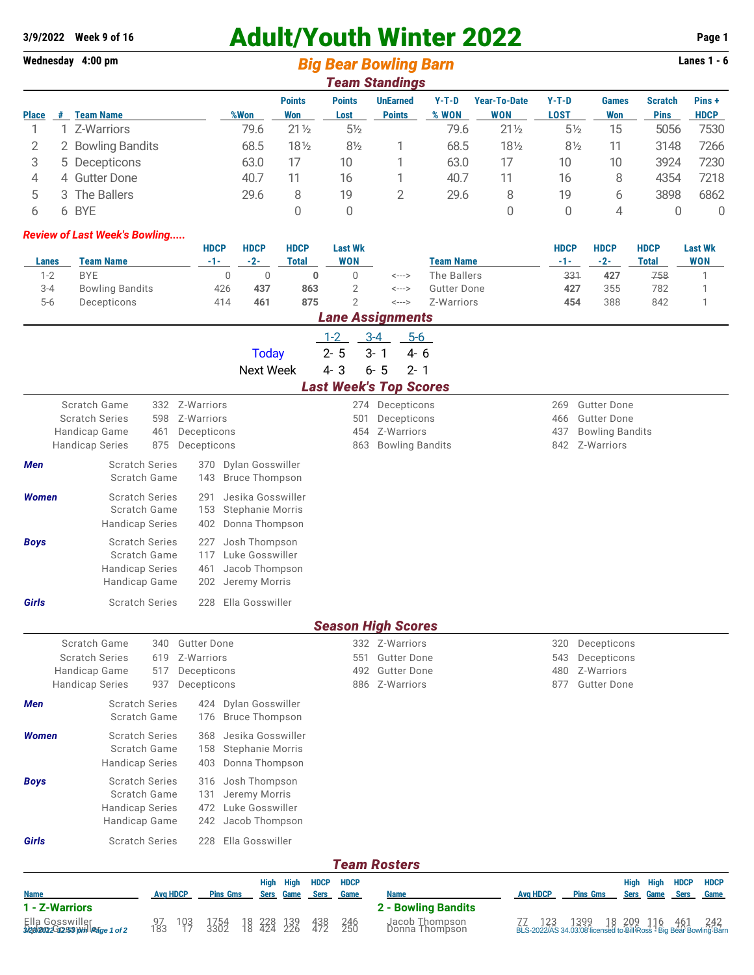# **3/9/2022 Week 9 of 16** Adult/Youth Winter 2022 **Page 1**

**Wednesday 4:00 pm Big Bear Bowling Barn Barn Lanes 1 - 6** 

| <b>Team Standings</b> |   |                        |      |                      |                       |                                  |                  |                            |                 |                            |                               |                       |
|-----------------------|---|------------------------|------|----------------------|-----------------------|----------------------------------|------------------|----------------------------|-----------------|----------------------------|-------------------------------|-----------------------|
| <b>Place</b>          | # | <b>Team Name</b>       | %Won | <b>Points</b><br>Won | <b>Points</b><br>Lost | <b>UnEarned</b><br><b>Points</b> | $Y-T-D$<br>% WON | <b>Year-To-Date</b><br>WON | $Y-T-D$<br>LOST | <b>Games</b><br><b>Won</b> | <b>Scratch</b><br><b>Pins</b> | Pins +<br><b>HDCP</b> |
|                       |   | Z-Warriors             | 79.6 | $21\frac{1}{2}$      | $5\frac{1}{2}$        |                                  | 79.6             | $21\frac{1}{2}$            | $5\frac{1}{2}$  | 15                         | 5056                          | 7530                  |
|                       | 2 | <b>Bowling Bandits</b> | 68.5 | 18½                  | $8\frac{1}{2}$        |                                  | 68.5             | 18½                        | $8\frac{1}{2}$  |                            | 3148                          | 7266                  |
|                       |   | 5 Decepticons          | 63.0 |                      | 10                    |                                  | 63.0             | 17                         | 10              | 10                         | 3924                          | 7230                  |
| 4                     |   | 4 Gutter Done          | 40.7 |                      | 16                    |                                  | 40.7             | 11                         | 16              | 8                          | 4354                          | 7218                  |
| b                     |   | 3 The Ballers          | 29.6 | 8                    | 19                    |                                  | 29.6             | 8                          | 19              | 6                          | 3898                          | 6862                  |
|                       |   | 6 BYE                  |      |                      |                       |                                  |                  |                            | 0               | 4                          |                               | 0                     |

#### *Review of Last Week's Bowling.....*

|         |                        | <b>HDCP</b> | <b>HDCP</b> | <b>HDCP</b> | Last Wk |       |                  | <b>HDCP</b> | <b>HDCP</b> | <b>HDCP</b> | <b>Last Wk</b> |
|---------|------------------------|-------------|-------------|-------------|---------|-------|------------------|-------------|-------------|-------------|----------------|
| Lanes   | Team Name              | - 1 -       | -2-         | Total       | WON     |       | <b>Team Name</b> | - 1 -       | -2-         | Total       | <b>WON</b>     |
| 1-2     | <b>BYE</b>             |             |             |             |         | <---> | The Ballers      | 331         | 427         | 758         |                |
| $3 - 4$ | <b>Bowling Bandits</b> | 426         | 437         | 863         |         | <---> | Gutter Done      | 427         | 355         | 782         |                |
| $5 - 6$ | Decepticons            | 414         | 461         | 875         |         | <---> | Z-Warriors       | 454         | 388         | 842         |                |

## *Lane Assignments*

|              |                |                       |  | 1-2 3-4 5-6 |                               |  |  |  |  |  |
|--------------|----------------|-----------------------|--|-------------|-------------------------------|--|--|--|--|--|
|              |                | $Today$ 2-5 3-1 4-6   |  |             |                               |  |  |  |  |  |
|              |                | Next Week 4-3 6-5 2-1 |  |             |                               |  |  |  |  |  |
|              |                |                       |  |             | <b>Last Week's Top Scores</b> |  |  |  |  |  |
| Scratch Game | 332 Z-Warriors | 274 Decepticons       |  |             |                               |  |  |  |  |  |
|              |                |                       |  |             |                               |  |  |  |  |  |

|       | Handicap Game<br><b>Handicap Series</b>                                          | 461<br>875 | Decepticons<br>Decepticons |                                                                             |
|-------|----------------------------------------------------------------------------------|------------|----------------------------|-----------------------------------------------------------------------------|
| Men   | <b>Scratch Series</b><br>Scratch Game                                            |            | 370<br>143                 | Dylan Gosswiller<br><b>Bruce Thompson</b>                                   |
| Women | <b>Scratch Series</b><br>Scratch Game<br><b>Handicap Series</b>                  |            | 291<br>153                 | Jesika Gosswiller<br><b>Stephanie Morris</b><br>402 Donna Thompson          |
| Boys  | <b>Scratch Series</b><br>Scratch Game<br><b>Handicap Series</b><br>Handicap Game |            | 117<br>461                 | 227 Josh Thompson<br>Luke Gosswiller<br>Jacob Thompson<br>202 Jeremy Morris |

**Girls** Scratch Series 228 Ella Gosswiller

## Scratch Series 598 Z-Warriors 501 Decepticons 501 Deceptions 466 Gutter Done 454 Z-Warriors **Administrative 437 Bowling Bandits**

| 269 | <b>Gutter Done</b> |  |
|-----|--------------------|--|
|     |                    |  |

- 
- 863 Bowling Bandits 842 Z-Warriors

### *Season High Scores*

|                                                                                        |                                                                           |                                     |                                                                |                          |                                                                     |                                   |                            |                                   |                                   | utujun niyii utultu                                                           |                 |                          |                                                                                                                         |                     |              |                            |                     |
|----------------------------------------------------------------------------------------|---------------------------------------------------------------------------|-------------------------------------|----------------------------------------------------------------|--------------------------|---------------------------------------------------------------------|-----------------------------------|----------------------------|-----------------------------------|-----------------------------------|-------------------------------------------------------------------------------|-----------------|--------------------------|-------------------------------------------------------------------------------------------------------------------------|---------------------|--------------|----------------------------|---------------------|
| Scratch Game<br><b>Scratch Series</b><br>Handicap Game<br><b>Handicap Series</b>       |                                                                           | 340<br>619<br>517<br>937            | <b>Gutter Done</b><br>Z-Warriors<br>Decepticons<br>Decepticons |                          |                                                                     |                                   |                            |                                   | 551<br>492<br>886                 | 332 Z-Warriors<br><b>Gutter Done</b><br><b>Gutter Done</b><br>Z-Warriors      |                 | 320<br>543<br>480<br>877 | Decepticons<br>Decepticons<br>Z-Warriors<br><b>Gutter Done</b>                                                          |                     |              |                            |                     |
| Men                                                                                    | <b>Scratch Series</b><br>Scratch Game                                     |                                     |                                                                | 424<br>176               | Dylan Gosswiller<br>Bruce Thompson                                  |                                   |                            |                                   |                                   |                                                                               |                 |                          |                                                                                                                         |                     |              |                            |                     |
| Women                                                                                  | <b>Scratch Series</b><br>Scratch Game<br>Handicap Series                  |                                     |                                                                | 368<br>158<br>403        | Jesika Gosswiller<br><b>Stephanie Morris</b><br>Donna Thompson      |                                   |                            |                                   |                                   |                                                                               |                 |                          |                                                                                                                         |                     |              |                            |                     |
| <b>Boys</b>                                                                            | <b>Scratch Series</b><br>Scratch Game<br>Handicap Series<br>Handicap Game |                                     |                                                                | 316<br>131<br>472<br>242 | Josh Thompson<br>Jeremy Morris<br>Luke Gosswiller<br>Jacob Thompson |                                   |                            |                                   |                                   |                                                                               |                 |                          |                                                                                                                         |                     |              |                            |                     |
| Girls                                                                                  | <b>Scratch Series</b>                                                     |                                     |                                                                | 228                      | Ella Gosswiller                                                     |                                   |                            |                                   |                                   | <b>Team Rosters</b>                                                           |                 |                          |                                                                                                                         |                     |              |                            |                     |
| <b>Name</b><br>1 - Z-Warriors<br>Ella Gosswiller<br><b>Dag/am:2Gn2ssymillerge</b> 1of2 |                                                                           | <b>Ava HDCP</b><br>$\frac{97}{183}$ | 103<br>17                                                      | 1754<br>3302             | <b>Pins Gms</b><br>18<br>18                                         | <b>High</b><br><b>Sers</b><br>428 | High<br>Game<br>139<br>226 | <b>HDCP</b><br><b>Sers</b><br>438 | <b>HDCP</b><br>Game<br>246<br>250 | <b>Name</b><br><b>2 - Bowling Bandits</b><br>Jacob Thompson<br>Donna Thompson | <b>Avg HDCP</b> |                          | <b>Pins Gms</b><br>77 123 1399 18 209 116 461 242<br>BLS-2022/AS 34.03.08.licensed to Bill Ross - Big Bear Bowling Barr | High<br><b>Sers</b> | High<br>Game | <b>HDCP</b><br><b>Sers</b> | <b>HDCP</b><br>Game |
|                                                                                        |                                                                           |                                     |                                                                |                          |                                                                     |                                   |                            |                                   |                                   |                                                                               |                 |                          |                                                                                                                         |                     |              |                            |                     |